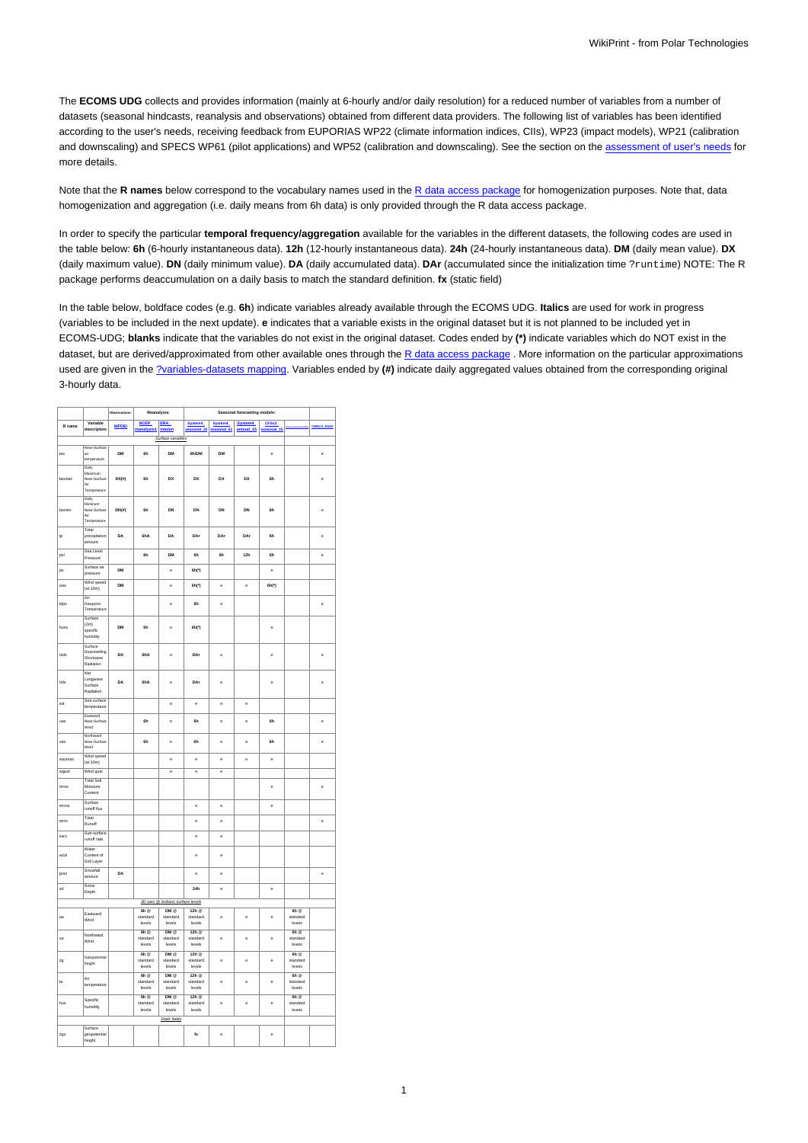The **ECOMS UDG** collects and provides information (mainly at 6-hourly and/or daily resolution) for a reduced number of variables from a number of datasets (seasonal hindcasts, reanalysis and observations) obtained from different data providers. The following list of variables has been identified according to the user's needs, receiving feedback from EUPORIAS WP22 (climate information indices, CIIs), WP23 (impact models), WP21 (calibration and downscaling) and SPECS WP61 (pilot applications) and WP52 (calibration and downscaling). See the section on the [assessment of user's needs](https://meteo.unican.es/trac/wiki/udg/ecoms/EndUserNeeds) for more details.

Note that the **R names** below correspond to the vocabulary names used in the [R data access package](https://meteo.unican.es/trac/wiki/udg/ecoms/RPackage) for homogenization purposes. Note that, data homogenization and aggregation (i.e. daily means from 6h data) is only provided through the R data access package.

In order to specify the particular **temporal frequency/aggregation** available for the variables in the different datasets, the following codes are used in the table below: **6h** (6-hourly instantaneous data). **12h** (12-hourly instantaneous data). **24h** (24-hourly instantaneous data). **DM** (daily mean value). **DX** (daily maximum value). **DN** (daily minimum value). **DA** (daily accumulated data). **DAr** (accumulated since the initialization time ?runtime) NOTE: The R package performs deaccumulation on a daily basis to match the standard definition. **fx** (static field)

In the table below, boldface codes (e.g. **6h**) indicate variables already available through the ECOMS UDG. **Italics** are used for work in progress (variables to be included in the next update). **e** indicates that a variable exists in the original dataset but it is not planned to be included yet in ECOMS-UDG; **blanks** indicate that the variables do not exist in the original dataset. Codes ended by **(\*)** indicate variables which do NOT exist in the dataset, but are derived/approximated from other available ones through the [R data access package](https://meteo.unican.es/trac/wiki/udg/ecoms/RPackage). More information on the particular approximations used are given in the [?variables-datasets mapping](http://meteo.unican.es/trac/wiki/EcomsUdg/EndUserNeeds/ListOfVariables). Variables ended by **(#)** indicate daily aggregated values obtained from the corresponding original 3-hourly data.

|                                   |                                                         | <b>Observations:</b> | Reanalysis:                                               |                                    | Seasonal forecasting models:                              |                          |                      |                      |                                                      |                      |
|-----------------------------------|---------------------------------------------------------|----------------------|-----------------------------------------------------------|------------------------------------|-----------------------------------------------------------|--------------------------|----------------------|----------------------|------------------------------------------------------|----------------------|
| R name                            | Variable<br>description                                 | <b>WFDEI</b>         | <b>NCEP</b><br>reanalysis1 interim                        | <b>ERA</b>                         | System4<br>$\overline{\text{ional}}$ 15                   | System4<br>sonal 51      | System4<br>annual 15 | CFSv2<br>seasonal_15 |                                                      | <b>2SPECS ESGF</b>   |
|                                   |                                                         |                      |                                                           | Surface variables                  |                                                           |                          |                      |                      |                                                      |                      |
|                                   | Near-Surface                                            |                      |                                                           |                                    | 6h/DM                                                     |                          |                      |                      |                                                      |                      |
| tas                               | air<br>temperature                                      | DM                   | 6h                                                        | DM                                 |                                                           | DM                       |                      | ė                    |                                                      | ė                    |
| tasmax                            | Daily<br>Maximum<br>Near-Surface<br><br>Temperature     | $DX(\theta)$         | 6h                                                        | DX                                 | DX                                                        | DX                       | DX                   | 6h                   |                                                      | ė                    |
| tasmin                            | Daily<br>Minimum<br>Near-Surface<br>Air<br>Temperature  | DN(ii)               | 6h                                                        | DN                                 | DN                                                        | DN                       | DN                   | <b>ßh</b>            |                                                      | ė                    |
| tp                                | Total<br>precipitation<br>amount                        | DA                   | 6hA                                                       | DA                                 | DAr                                                       | DAr                      | DAr                  | 6h                   |                                                      | ė                    |
| psl                               | Sea Level<br>Pressure                                   |                      | 6h                                                        | DM                                 | ßЬ                                                        | 6h                       | 12h                  | <b>ßh</b>            |                                                      | ė                    |
| ps                                | Surface air<br>pressure                                 | DM                   |                                                           | ė                                  | 6h(*)                                                     |                          |                      | ė                    |                                                      |                      |
| wss                               | Wind speed<br>(at 10m)                                  | DM                   |                                                           | ė                                  | 6h(*)                                                     | ė                        | ė                    | 6h(*)                |                                                      |                      |
| tdps                              | $\frac{2m}{2m}$<br>Dewooint<br>Temperature              |                      |                                                           | $\ddot{\phantom{0}}$               | 6h                                                        | $\ddot{\phantom{0}}$     |                      |                      |                                                      | $\ddot{\phantom{0}}$ |
| huss                              | Surface<br>(2m)<br>specific<br>humidity                 | DM                   | 6h                                                        | ė                                  | 6h(*)                                                     |                          |                      | e                    |                                                      |                      |
| rsds                              | Surface<br>Downwelling<br>Shortwave<br>Radiation<br>Net | DA                   | 6hA                                                       | $\ddot{\phantom{0}}$               | DAr                                                       | $\ddot{\phantom{0}}$     |                      | ė                    |                                                      | ė                    |
| rids                              | Longwave<br>Surface<br>Radiation                        | DA                   | 6hA                                                       | ė                                  | DAr                                                       | ė                        |                      | è                    |                                                      | è                    |
| sst                               | Sea surface<br>temperature                              |                      |                                                           | ė                                  | ė                                                         | ė                        | è                    |                      |                                                      |                      |
| uás                               | Eastward<br>Near-Surface<br>Wind                        |                      | ŘЬ                                                        | ė                                  | ŘЬ                                                        | ė                        | ė                    | ŘЬ                   |                                                      | ė                    |
| vas                               | Northward<br>Near-Surface<br>Wind                       |                      | 6h                                                        | ė                                  | 6h                                                        | e                        | e                    | 6h                   |                                                      | ė                    |
| wssmax                            | Wind speed<br>(at 10m)                                  |                      |                                                           | ė                                  | ė                                                         | ė                        | ė                    | ė                    |                                                      |                      |
| wgust                             | Wind gust                                               |                      |                                                           | $\overline{e}$                     | $\overline{\phantom{a}}$                                  | $\overline{\phantom{a}}$ |                      |                      |                                                      |                      |
| mrso                              | <b>Total Soil</b><br>Moisture<br>Content                |                      |                                                           |                                    |                                                           |                          |                      | ė                    |                                                      | $\ddot{\text{e}}$    |
| mrros                             | Surface<br>runoff flux                                  |                      |                                                           |                                    | ė                                                         | e                        |                      | ė                    |                                                      |                      |
| mrro                              | Total<br>Runoff                                         |                      |                                                           |                                    | ė                                                         | ė                        |                      |                      |                                                      | ė                    |
| ssro                              | Sub-surface<br>runoff rate                              |                      |                                                           |                                    | ė                                                         | ė                        |                      |                      |                                                      |                      |
| wcsl                              | Water<br>Content of<br>Soil Layer                       |                      |                                                           |                                    | ė                                                         | ė                        |                      |                      |                                                      |                      |
| prsn                              | Snowfall<br>amount                                      | DA                   |                                                           |                                    | e                                                         | e                        |                      |                      |                                                      | e                    |
| sd                                | Snow<br>Depth                                           |                      |                                                           |                                    | 24h                                                       | ė                        |                      | $\ddot{\text{e}}$    |                                                      |                      |
| 3D vars @ isobaric surface levels |                                                         |                      |                                                           |                                    |                                                           |                          |                      |                      |                                                      |                      |
| ua                                | Eastward<br>Wind                                        |                      | $6h$ <sup><math>@</math></sup><br>standard<br>levels      | DMQ<br>standard<br>levels          | $12h$ <sup>®</sup><br>standard<br>levels                  | ė                        | ė                    | ė                    | $6h$ <sup><math>@</math></sup><br>standard<br>levels |                      |
| vá                                | Northward<br>Wind                                       |                      | $6h$ $\Omega$<br>standard<br>levels                       | $DM \otimes$<br>standard<br>levels | $12h$ <sup><math>\circ</math></sup><br>standard<br>levels | $\ddot{\phantom{0}}$     | ė                    | ė                    | $6h$ $\Phi$<br>standard<br>levels                    |                      |
| zg                                | Geopotential<br>height                                  |                      | $6h$ $\circ$<br>standard<br>levels                        | $DM \odot$<br>standard<br>levels   | $12h$ <sup><math>\circ</math></sup><br>standard<br>levels | ė                        | ė                    | ė                    | $6h$ <sup><math>@</math></sup><br>standard<br>levels |                      |
| ta                                | Air<br>temperature                                      |                      | $6h$ <sup><math>\alpha</math></sup><br>standard<br>levels | $DM \t0$<br>standard<br>levels     | 12h @<br>standard<br>levels                               | ė                        | e                    | ė                    | $6h \alpha$<br>standard<br>levels                    |                      |
| hus                               | Specific<br>humidity                                    |                      | 6h<br>standard<br>levels                                  | $DM \otimes$<br>standard<br>levels | $12h$ <sup>®</sup><br>standard<br>levels                  | ė                        | e                    | ė                    | $6h$ $@$<br>standard<br>levels                       |                      |
|                                   |                                                         |                      |                                                           | Static fields                      |                                                           |                          |                      |                      |                                                      |                      |
| zgs                               | Surface<br>geopotential<br>height                       |                      |                                                           |                                    | $f_{\mathbf{X}}$                                          | ė                        |                      | ė                    |                                                      |                      |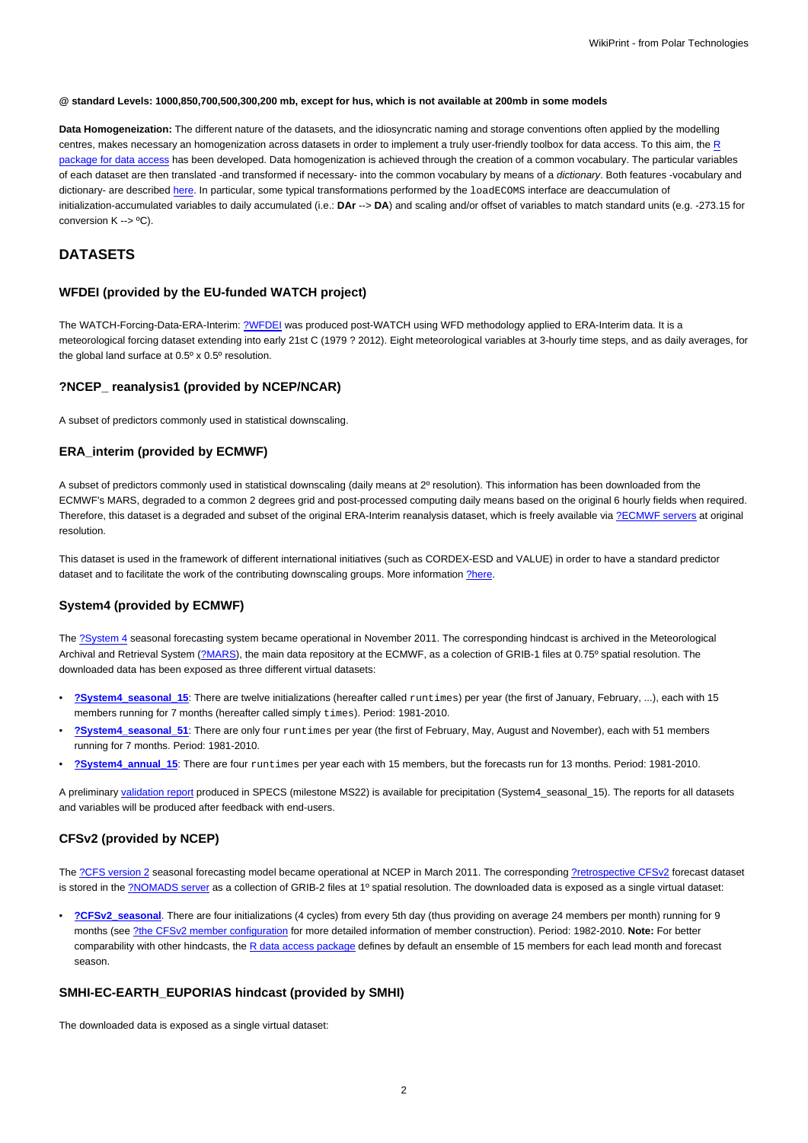#### **@ standard Levels: 1000,850,700,500,300,200 mb, except for hus, which is not available at 200mb in some models**

**Data Homogeneization:** The different nature of the datasets, and the idiosyncratic naming and storage conventions often applied by the modelling centres, makes necessary an homogenization across datasets in order to implement a truly user-friendly toolbox for data access. To this aim, the [R](https://meteo.unican.es/trac/wiki/udg/ecoms/RPackage) [package for data access](https://meteo.unican.es/trac/wiki/udg/ecoms/RPackage) has been developed. Data homogenization is achieved through the creation of a common vocabulary. The particular variables of each dataset are then translated -and transformed if necessary- into the common vocabulary by means of a dictionary. Both features -vocabulary and dictionary- are described [here.](https://meteo.unican.es/trac/wiki/udg/ecoms/RPackage/homogeneization) In particular, some typical transformations performed by the loadECOMS interface are deaccumulation of initialization-accumulated variables to daily accumulated (i.e.: **DAr** --> **DA**) and scaling and/or offset of variables to match standard units (e.g. -273.15 for conversion K --> ºC).

# **DATASETS**

## **WFDEI (provided by the EU-funded WATCH project)**

The WATCH-Forcing-Data-ERA-Interim: [?WFDEI](http://www.eu-watch.org/data_availability) was produced post-WATCH using WFD methodology applied to ERA-Interim data. It is a meteorological forcing dataset extending into early 21st C (1979 ? 2012). Eight meteorological variables at 3-hourly time steps, and as daily averages, for the global land surface at 0.5º x 0.5º resolution.

#### **?NCEP\_ reanalysis1 (provided by NCEP/NCAR)**

A subset of predictors commonly used in statistical downscaling.

## **ERA\_interim (provided by ECMWF)**

A subset of predictors commonly used in statistical downscaling (daily means at 2º resolution). This information has been downloaded from the ECMWF's MARS, degraded to a common 2 degrees grid and post-processed computing daily means based on the original 6 hourly fields when required. Therefore, this dataset is a degraded and subset of the original ERA-Interim reanalysis dataset, which is freely available via [?ECMWF servers](http://www.ecmwf.int/en/research/climate-reanalysis/era-interim) at original resolution.

This dataset is used in the framework of different international initiatives (such as CORDEX-ESD and VALUE) in order to have a standard predictor dataset and to facilitate the work of the contributing downscaling groups. More information [?here.](http://meteo.unican.es/trac/wiki/udg/esd)

## **System4 (provided by ECMWF)**

The [?System 4](http://old.ecmwf.int/products/changes/system4/technical_description.html) seasonal forecasting system became operational in November 2011. The corresponding hindcast is archived in the Meteorological Archival and Retrieval System [\(?MARS\)](http://old.ecmwf.int/services/archive/), the main data repository at the ECMWF, as a colection of GRIB-1 files at 0.75° spatial resolution. The downloaded data has been exposed as three different virtual datasets:

- **[?System4\\_seasonal\\_15](http://www.meteo.unican.es/tds5/catalogs/system4/System4Datasets.html?dataset=system4/System4_Seasonal_15Members.ncml)**: There are twelve initializations (hereafter called runtimes) per year (the first of January, February, ...), each with 15 members running for 7 months (hereafter called simply times). Period: 1981-2010.
- **[?System4\\_seasonal\\_51](http://www.meteo.unican.es/tds5/catalogs/system4/System4Datasets.html?dataset=system4/System4_Seasonal_51Members.ncml)**: There are only four runtimes per year (the first of February, May, August and November), each with 51 members running for 7 months. Period: 1981-2010.
- **[?System4\\_annual\\_15](http://www.meteo.unican.es/tds5/catalogs/system4/System4Datasets.html?dataset=system4/System4_Annual_15Members.ncml)**: There are four runtimes per year each with 15 members, but the forecasts run for 13 months. Period: 1981-2010.

A preliminary [validation report](https://meteo.unican.es/trac/attachment/wiki/udg/ecoms/dataserver/datasets/validation_report_System4_15members_precip.pdf) produced in SPECS (milestone MS22) is available for precipitation (System4\_seasonal\_15). The reports for all datasets and variables will be produced after feedback with end-users.

## **CFSv2 (provided by NCEP)**

The [?CFS version 2](http://cfs.ncep.noaa.gov) seasonal forecasting model became operational at NCEP in March 2011. The corresponding [?retrospective CFSv2](http://cfs.ncep.noaa.gov/cfsv2.info/CFSv2.Reforecast.Data.doc) forecast dataset is stored in the [?NOMADS server](http://nomads.ncdc.noaa.gov/data.php?name=access#cfs-refor) as a collection of GRIB-2 files at 1º spatial resolution. The downloaded data is exposed as a single virtual dataset:

• **[?CFSv2\\_seasonal](http://www.meteo.unican.es/tds5/catalogs/cfs/cfsDatasets.html?dataset=cfsrr/CFSv2_Seasonal.ncml)**. There are four initializations (4 cycles) from every 5th day (thus providing on average 24 members per month) running for 9 months (see [?the CFSv2 member configuration](http://meteo.unican.es/trac/wiki/udg/ecoms/dataserver/datasets/CFSv2) for more detailed information of member construction). Period: 1982-2010. **Note:** For better comparability with other hindcasts, the [R data access package](https://meteo.unican.es/trac/wiki/udg/ecoms/RPackage) defines by default an ensemble of 15 members for each lead month and forecast season.

#### **SMHI-EC-EARTH\_EUPORIAS hindcast (provided by SMHI)**

The downloaded data is exposed as a single virtual dataset: